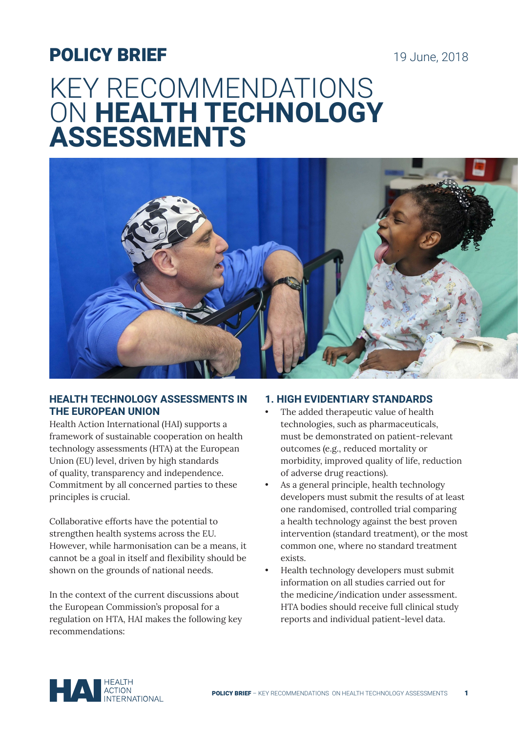## POLICY BRIEF

19 June, 2018

# KEY RECOMMENDATIONS ON **HEALTH TECHNOLOGY ASSESSMENTS**



#### **HEALTH TECHNOLOGY ASSESSMENTS IN THE EUROPEAN UNION**

Health Action International (HAI) supports a framework of sustainable cooperation on health technology assessments (HTA) at the European Union (EU) level, driven by high standards of quality, transparency and independence. Commitment by all concerned parties to these principles is crucial.

Collaborative efforts have the potential to strengthen health systems across the EU. However, while harmonisation can be a means, it cannot be a goal in itself and flexibility should be shown on the grounds of national needs.

In the context of the current discussions about the European Commission's proposal for a regulation on HTA, HAI makes the following key recommendations:

#### **1. HIGH EVIDENTIARY STANDARDS**

- The added therapeutic value of health technologies, such as pharmaceuticals, must be demonstrated on patient-relevant outcomes (e.g., reduced mortality or morbidity, improved quality of life, reduction of adverse drug reactions).
- As a general principle, health technology developers must submit the results of at least one randomised, controlled trial comparing a health technology against the best proven intervention (standard treatment), or the most common one, where no standard treatment exists.
- Health technology developers must submit information on all studies carried out for the medicine/indication under assessment. HTA bodies should receive full clinical study reports and individual patient-level data.